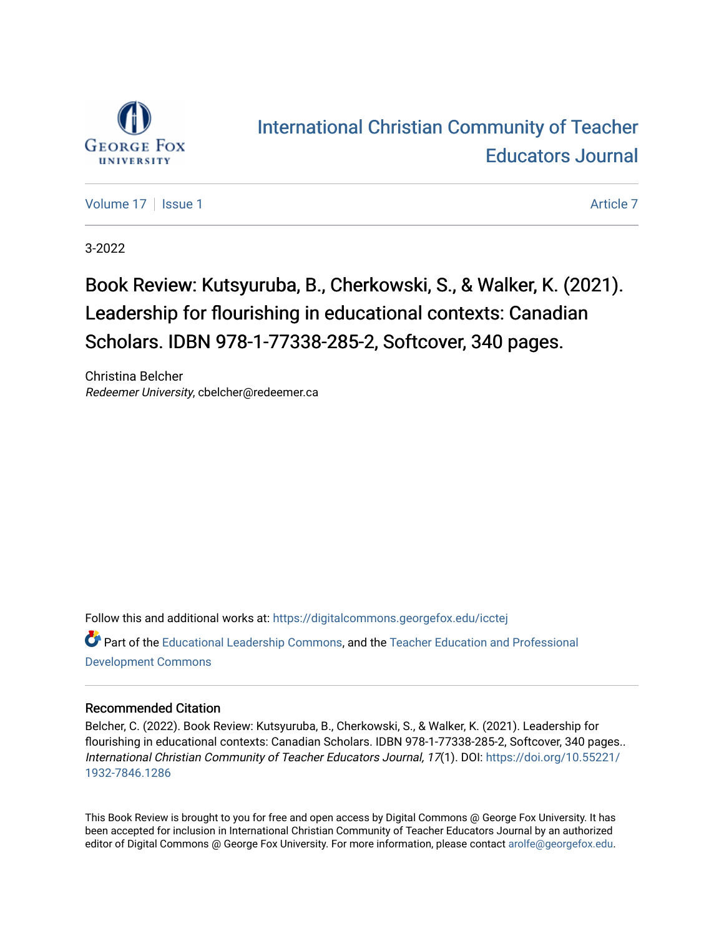

## [International Christian Community of Teacher](https://digitalcommons.georgefox.edu/icctej)  [Educators Journal](https://digitalcommons.georgefox.edu/icctej)

[Volume 17](https://digitalcommons.georgefox.edu/icctej/vol17) | [Issue 1](https://digitalcommons.georgefox.edu/icctej/vol17/iss1) Article 7

3-2022

## Book Review: Kutsyuruba, B., Cherkowski, S., & Walker, K. (2021). Leadership for flourishing in educational contexts: Canadian Scholars. IDBN 978-1-77338-285-2, Softcover, 340 pages.

Christina Belcher Redeemer University, cbelcher@redeemer.ca

Follow this and additional works at: [https://digitalcommons.georgefox.edu/icctej](https://digitalcommons.georgefox.edu/icctej?utm_source=digitalcommons.georgefox.edu%2Ficctej%2Fvol17%2Fiss1%2F7&utm_medium=PDF&utm_campaign=PDFCoverPages) 

Part of the [Educational Leadership Commons,](http://network.bepress.com/hgg/discipline/1230?utm_source=digitalcommons.georgefox.edu%2Ficctej%2Fvol17%2Fiss1%2F7&utm_medium=PDF&utm_campaign=PDFCoverPages) and the [Teacher Education and Professional](http://network.bepress.com/hgg/discipline/803?utm_source=digitalcommons.georgefox.edu%2Ficctej%2Fvol17%2Fiss1%2F7&utm_medium=PDF&utm_campaign=PDFCoverPages) [Development Commons](http://network.bepress.com/hgg/discipline/803?utm_source=digitalcommons.georgefox.edu%2Ficctej%2Fvol17%2Fiss1%2F7&utm_medium=PDF&utm_campaign=PDFCoverPages) 

### Recommended Citation

Belcher, C. (2022). Book Review: Kutsyuruba, B., Cherkowski, S., & Walker, K. (2021). Leadership for flourishing in educational contexts: Canadian Scholars. IDBN 978-1-77338-285-2, Softcover, 340 pages.. International Christian Community of Teacher Educators Journal, 17(1). DOI: [https://doi.org/10.55221/](https://doi.org/10.55221/1932-7846.1286) [1932-7846.1286](https://doi.org/10.55221/1932-7846.1286) 

This Book Review is brought to you for free and open access by Digital Commons @ George Fox University. It has been accepted for inclusion in International Christian Community of Teacher Educators Journal by an authorized editor of Digital Commons @ George Fox University. For more information, please contact [arolfe@georgefox.edu.](mailto:arolfe@georgefox.edu)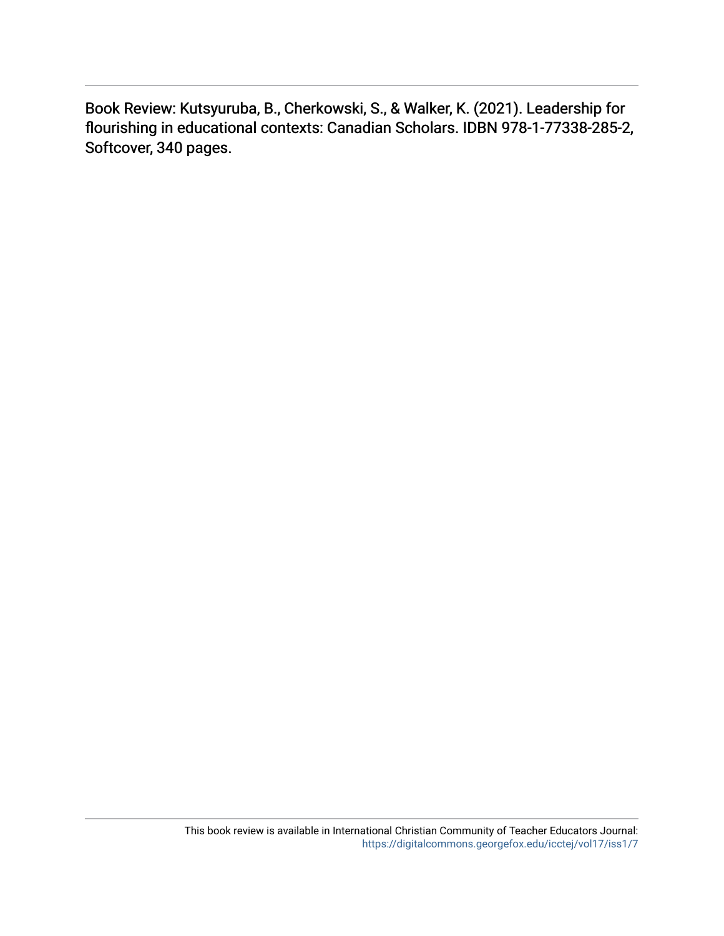Book Review: Kutsyuruba, B., Cherkowski, S., & Walker, K. (2021). Leadership for flourishing in educational contexts: Canadian Scholars. IDBN 978-1-77338-285-2, Softcover, 340 pages.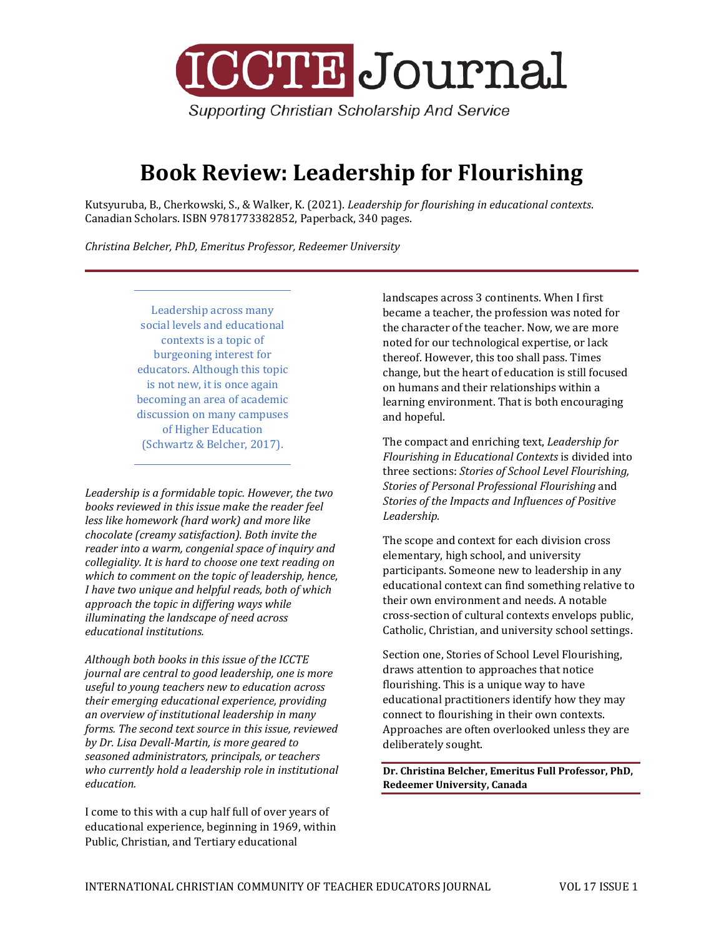

**Supporting Christian Scholarship And Service** 

# **Book Review: Leadership for Flourishing**

Kutsyuruba, B., Cherkowski, S., & Walker, K. (2021). *Leadership for flourishing in educational contexts*. Canadian Scholars. ISBN 9781773382852, Paperback, 340 pages.

*Christina Belcher, PhD, Emeritus Professor, Redeemer University*

Leadership across many social levels and educational contexts is a topic of burgeoning interest for educators. Although this topic is not new, it is once again becoming an area of academic discussion on many campuses of Higher Education (Schwartz & Belcher, 2017).

*Leadership is a formidable topic. However, the two books reviewed in this issue make the reader feel less like homework (hard work) and more like chocolate (creamy satisfaction). Both invite the reader into a warm, congenial space of inquiry and collegiality. It is hard to choose one text reading on which to comment on the topic of leadership, hence, I have two unique and helpful reads, both of which approach the topic in differing ways while illuminating the landscape of need across educational institutions.* 

*Although both books in this issue of the ICCTE journal are central to good leadership, one is more useful to young teachers new to education across their emerging educational experience, providing an overview of institutional leadership in many forms. The second text source in this issue, reviewed by Dr. Lisa Devall-Martin, is more geared to seasoned administrators, principals, or teachers who currently hold a leadership role in institutional education.* 

I come to this with a cup half full of over years of educational experience, beginning in 1969, within Public, Christian, and Tertiary educational

landscapes across 3 continents. When I first became a teacher, the profession was noted for the character of the teacher. Now, we are more noted for our technological expertise, or lack thereof. However, this too shall pass. Times change, but the heart of education is still focused on humans and their relationships within a learning environment. That is both encouraging and hopeful.

The compact and enriching text, *Leadership for Flourishing in Educational Contexts* is divided into three sections: *Stories of School Level Flourishing, Stories of Personal Professional Flourishing* and *Stories of the Impacts and Influences of Positive Leadership.* 

The scope and context for each division cross elementary, high school, and university participants. Someone new to leadership in any educational context can find something relative to their own environment and needs. A notable cross-section of cultural contexts envelops public, Catholic, Christian, and university school settings.

Section one, Stories of School Level Flourishing, draws attention to approaches that notice flourishing. This is a unique way to have educational practitioners identify how they may connect to flourishing in their own contexts. Approaches are often overlooked unless they are deliberately sought.

**Dr. Christina Belcher, Emeritus Full Professor, PhD, Redeemer University, Canada**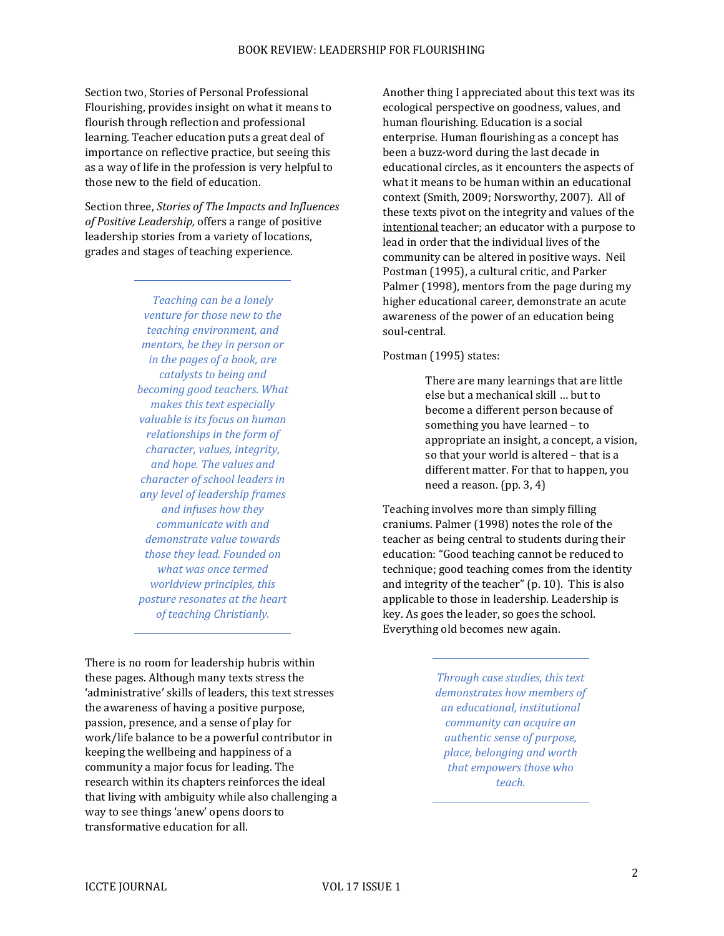Section two, Stories of Personal Professional Flourishing, provides insight on what it means to flourish through reflection and professional learning. Teacher education puts a great deal of importance on reflective practice, but seeing this as a way of life in the profession is very helpful to those new to the field of education.

Section three, *Stories of The Impacts and Influences of Positive Leadership,* offers a range of positive leadership stories from a variety of locations, grades and stages of teaching experience.

> *Teaching can be a lonely venture for those new to the teaching environment, and mentors, be they in person or in the pages of a book, are catalysts to being and becoming good teachers. What makes this text especially valuable is its focus on human relationships in the form of character, values, integrity, and hope. The values and character of school leaders in any level of leadership frames and infuses how they communicate with and demonstrate value towards those they lead. Founded on what was once termed worldview principles, this posture resonates at the heart of teaching Christianly.*

There is no room for leadership hubris within these pages. Although many texts stress the 'administrative' skills of leaders, this text stresses the awareness of having a positive purpose, passion, presence, and a sense of play for work/life balance to be a powerful contributor in keeping the wellbeing and happiness of a community a major focus for leading. The research within its chapters reinforces the ideal that living with ambiguity while also challenging a way to see things 'anew' opens doors to transformative education for all.

Another thing I appreciated about this text was its ecological perspective on goodness, values, and human flourishing. Education is a social enterprise. Human flourishing as a concept has been a buzz-word during the last decade in educational circles, as it encounters the aspects of what it means to be human within an educational context (Smith, 2009; Norsworthy, 2007). All of these texts pivot on the integrity and values of the intentional teacher; an educator with a purpose to lead in order that the individual lives of the community can be altered in positive ways. Neil Postman (1995), a cultural critic, and Parker Palmer (1998), mentors from the page during my higher educational career, demonstrate an acute awareness of the power of an education being soul-central.

#### Postman (1995) states:

There are many learnings that are little else but a mechanical skill … but to become a different person because of something you have learned – to appropriate an insight, a concept, a vision, so that your world is altered – that is a different matter. For that to happen, you need a reason. (pp. 3, 4)

Teaching involves more than simply filling craniums. Palmer (1998) notes the role of the teacher as being central to students during their education: "Good teaching cannot be reduced to technique; good teaching comes from the identity and integrity of the teacher" (p. 10). This is also applicable to those in leadership. Leadership is key. As goes the leader, so goes the school. Everything old becomes new again.

> *Through case studies, this text demonstrates how members of an educational, institutional community can acquire an authentic sense of purpose, place, belonging and worth that empowers those who teach.*